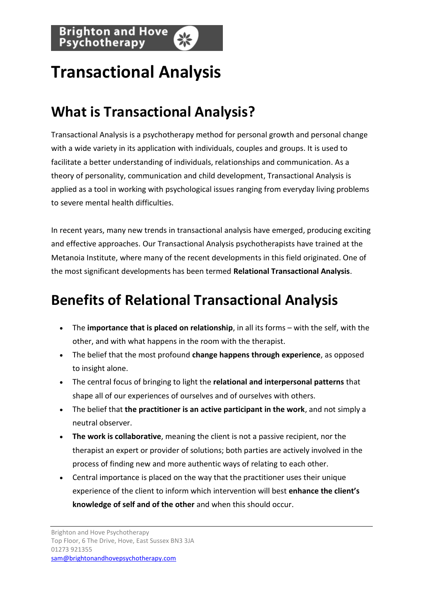## **Transactional Analysis**

## **What is Transactional Analysis?**

Transactional Analysis is a psychotherapy method for personal growth and personal change with a wide variety in its application with individuals, couples and [groups.](http://www.brightonandhovepsychotherapy.com/group-psychotherapy/) It is used to facilitate a better understanding of individuals, relationships and communication. As a theory of personality, communication and child development, Transactional Analysis is applied as a tool in working with psychological issues ranging from everyday living problems to severe mental health difficulties.

In recent years, many new trends in transactional analysis have emerged, producing exciting and effective approaches. Our [Transactional Analysis psychotherapists](http://www.brightonandhovepsychotherapy.com/practitioners/) have trained at the Metanoia Institute, where many of the recent developments in this field originated. One of the most significant developments has been termed **Relational Transactional Analysis**.

## **Benefits of Relational Transactional Analysis**

- The **importance that is placed on relationship**, in all its forms with the self, with the other, and with what happens in the room with the therapist.
- The belief that the most profound **change happens through experience**, as opposed to insight alone.
- The central focus of bringing to light the **relational and interpersonal patterns** that shape all of our experiences of ourselves and of ourselves with others.
- The belief that **the practitioner is an active participant in the work**, and not simply a neutral observer.
- **The work is collaborative**, meaning the client is not a passive recipient, nor the therapist an expert or provider of solutions; both parties are actively involved in the process of finding new and more authentic ways of relating to each other.
- Central importance is placed on the way that the practitioner uses their unique experience of the client to inform which intervention will best **enhance the client's knowledge of self and of the other** and when this should occur.